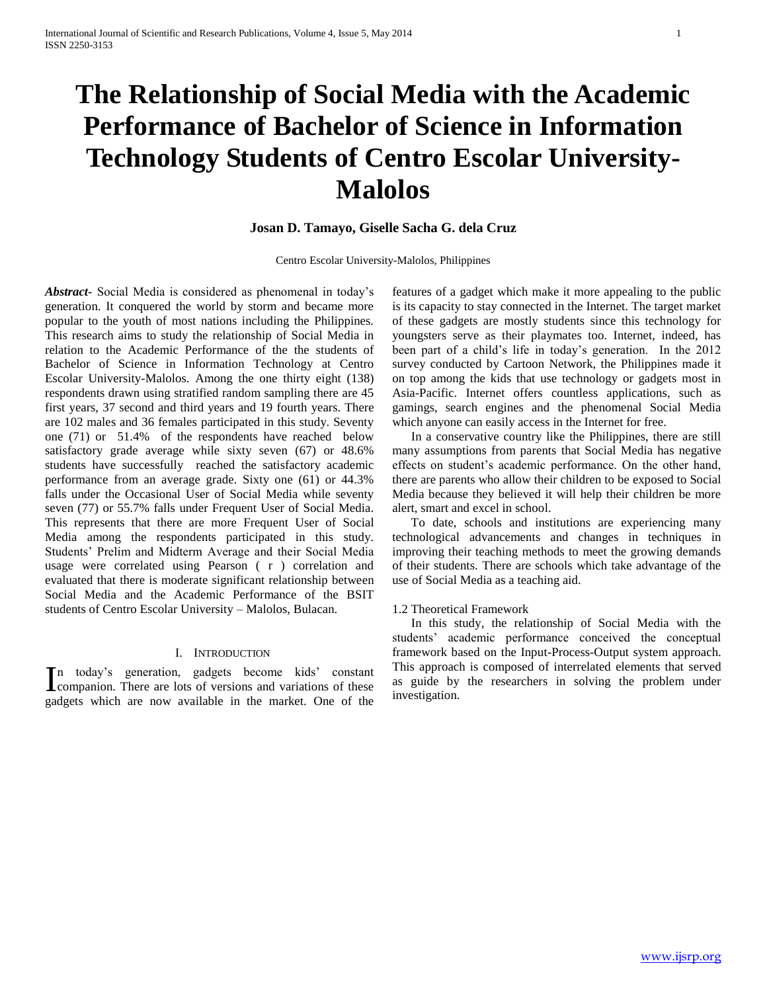# **The Relationship of Social Media with the Academic Performance of Bachelor of Science in Information Technology Students of Centro Escolar University-Malolos**

# **Josan D. Tamayo, Giselle Sacha G. dela Cruz**

Centro Escolar University-Malolos, Philippines

*Abstract***-** Social Media is considered as phenomenal in today's generation. It conquered the world by storm and became more popular to the youth of most nations including the Philippines. This research aims to study the relationship of Social Media in relation to the Academic Performance of the the students of Bachelor of Science in Information Technology at Centro Escolar University-Malolos. Among the one thirty eight (138) respondents drawn using stratified random sampling there are 45 first years, 37 second and third years and 19 fourth years. There are 102 males and 36 females participated in this study. Seventy one (71) or 51.4% of the respondents have reached below satisfactory grade average while sixty seven (67) or 48.6% students have successfully reached the satisfactory academic performance from an average grade. Sixty one (61) or 44.3% falls under the Occasional User of Social Media while seventy seven (77) or 55.7% falls under Frequent User of Social Media. This represents that there are more Frequent User of Social Media among the respondents participated in this study. Students' Prelim and Midterm Average and their Social Media usage were correlated using Pearson ( r ) correlation and evaluated that there is moderate significant relationship between Social Media and the Academic Performance of the BSIT students of Centro Escolar University – Malolos, Bulacan.

# I. INTRODUCTION

n today's generation, gadgets become kids' constant In today's generation, gadgets become kids' constant This approach<br>
companion. There are lots of versions and variations of these as guide by<br>
codgets which are now available in the market. One of the investigation. gadgets which are now available in the market. One of the

features of a gadget which make it more appealing to the public is its capacity to stay connected in the Internet. The target market of these gadgets are mostly students since this technology for youngsters serve as their playmates too. Internet, indeed, has been part of a child's life in today's generation. In the 2012 survey conducted by Cartoon Network, the Philippines made it on top among the kids that use technology or gadgets most in Asia-Pacific. Internet offers countless applications, such as gamings, search engines and the phenomenal Social Media which anyone can easily access in the Internet for free.

 In a conservative country like the Philippines, there are still many assumptions from parents that Social Media has negative effects on student's academic performance. On the other hand, there are parents who allow their children to be exposed to Social Media because they believed it will help their children be more alert, smart and excel in school.

 To date, schools and institutions are experiencing many technological advancements and changes in techniques in improving their teaching methods to meet the growing demands of their students. There are schools which take advantage of the use of Social Media as a teaching aid.

#### 1.2 Theoretical Framework

 In this study, the relationship of Social Media with the students' academic performance conceived the conceptual framework based on the Input-Process-Output system approach. This approach is composed of interrelated elements that served as guide by the researchers in solving the problem under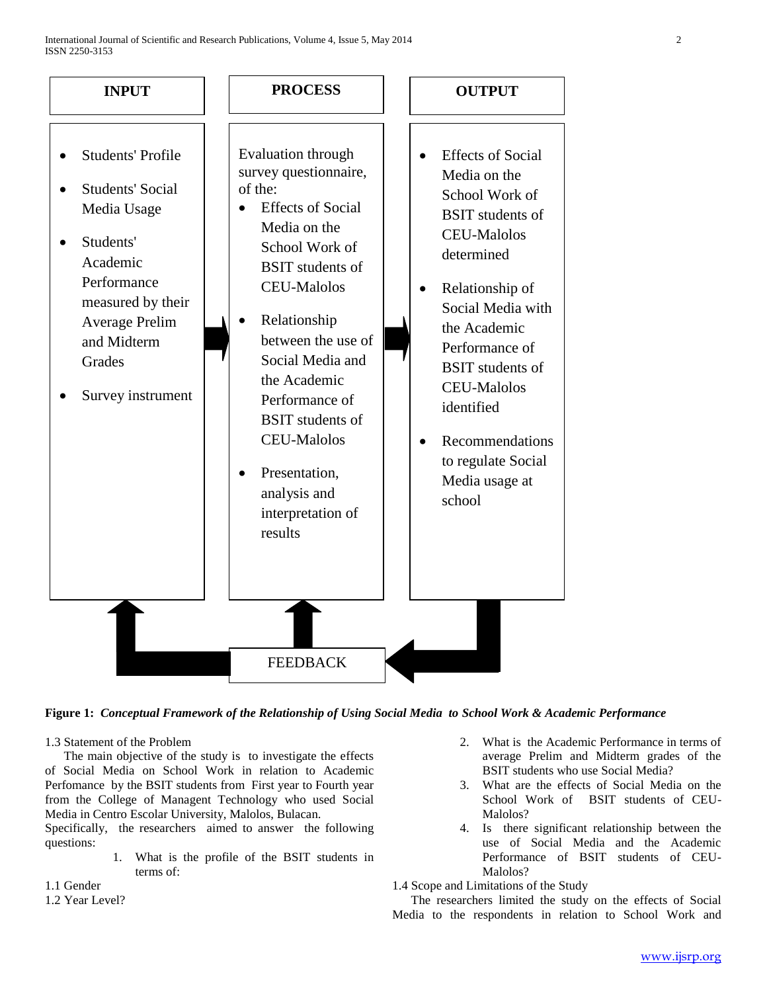



# 1.3 Statement of the Problem

 The main objective of the study is to investigate the effects of Social Media on School Work in relation to Academic Perfomance by the BSIT students from First year to Fourth year from the College of Managent Technology who used Social Media in Centro Escolar University, Malolos, Bulacan.

Specifically, the researchers aimed to answer the following questions:

> 1. What is the profile of the BSIT students in terms of:

# 1.1 Gender

1.2 Year Level?

- 2. What is the Academic Performance in terms of average Prelim and Midterm grades of the BSIT students who use Social Media?
- 3. What are the effects of Social Media on the School Work of BSIT students of CEU-Malolos?
- 4. Is there significant relationship between the use of Social Media and the Academic Performance of BSIT students of CEU-Malolos?

1.4 Scope and Limitations of the Study

 The researchers limited the study on the effects of Social Media to the respondents in relation to School Work and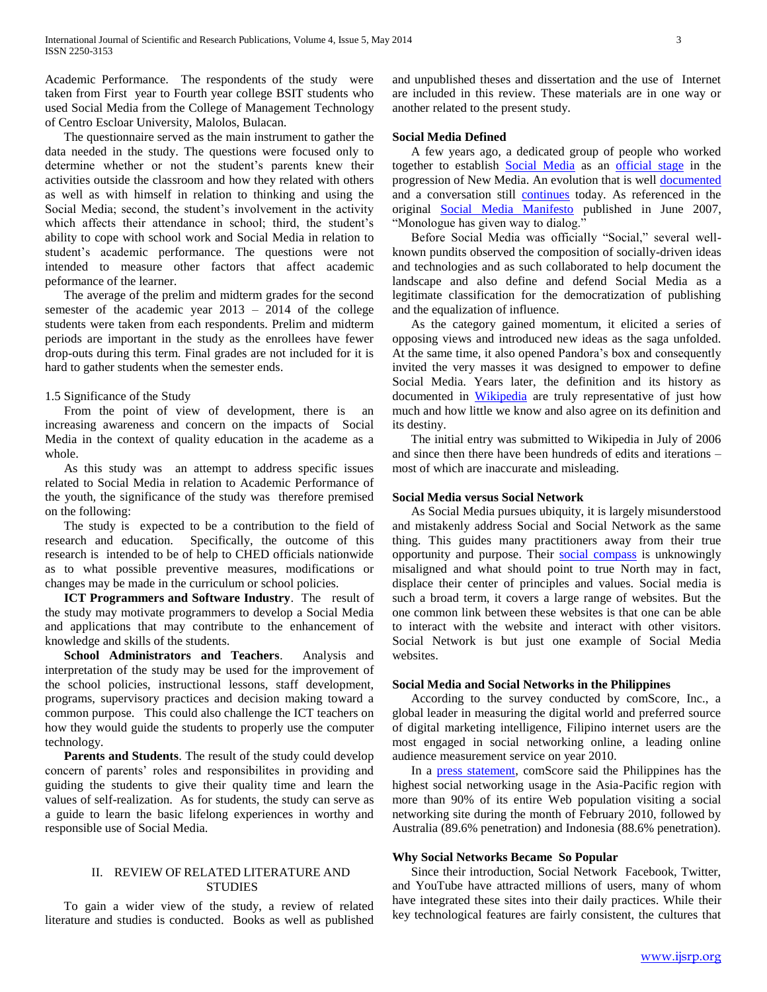Academic Performance. The respondents of the study were taken from First year to Fourth year college BSIT students who used Social Media from the College of Management Technology of Centro Escloar University, Malolos, Bulacan.

 The questionnaire served as the main instrument to gather the data needed in the study. The questions were focused only to determine whether or not the student's parents knew their activities outside the classroom and how they related with others as well as with himself in relation to thinking and using the Social Media; second, the student's involvement in the activity which affects their attendance in school; third, the student's ability to cope with school work and Social Media in relation to student's academic performance. The questions were not intended to measure other factors that affect academic peformance of the learner.

 The average of the prelim and midterm grades for the second semester of the academic year 2013 – 2014 of the college students were taken from each respondents. Prelim and midterm periods are important in the study as the enrollees have fewer drop-outs during this term. Final grades are not included for it is hard to gather students when the semester ends.

## 1.5 Significance of the Study

 From the point of view of development, there is an increasing awareness and concern on the impacts of Social Media in the context of quality education in the academe as a whole.

 As this study was an attempt to address specific issues related to Social Media in relation to Academic Performance of the youth, the significance of the study was therefore premised on the following:

 The study is expected to be a contribution to the field of research and education. Specifically, the outcome of this research is intended to be of help to CHED officials nationwide as to what possible preventive measures, modifications or changes may be made in the curriculum or school policies.

 **ICT Programmers and Software Industry**. The result of the study may motivate programmers to develop a Social Media and applications that may contribute to the enhancement of knowledge and skills of the students.

 **School Administrators and Teachers**. Analysis and interpretation of the study may be used for the improvement of the school policies, instructional lessons, staff development, programs, supervisory practices and decision making toward a common purpose. This could also challenge the ICT teachers on how they would guide the students to properly use the computer technology.

 **Parents and Students**. The result of the study could develop concern of parents' roles and responsibilites in providing and guiding the students to give their quality time and learn the values of self-realization. As for students, the study can serve as a guide to learn the basic lifelong experiences in worthy and responsible use of Social Media.

## II. REVIEW OF RELATED LITERATURE AND **STUDIES**

 To gain a wider view of the study, a review of related literature and studies is conducted. Books as well as published

and unpublished theses and dissertation and the use of Internet are included in this review. These materials are in one way or another related to the present study.

## **Social Media Defined**

 A few years ago, a dedicated group of people who worked together to establish [Social Media](http://www.briansolis.com/2007/02/whats-wrong-with-social-media/) as an [official stage](http://www.briansolis.com/2007/02/doc-searls-and-robert-scoble-on-whats/) in the progression of New Media. An evolution that is well [documented](http://www.webdesignerdepot.com/2009/10/the-history-and-evolution-of-social-media/) and a conversation still [continues](http://emergentbydesign.com/2010/01/04/what-is-social-media-the-2010-edition/) today. As referenced in the original [Social Media Manifesto](http://www.briansolis.com/2007/06/future-of-communications-manifesto-for/) published in June 2007, "Monologue has given way to dialog."

 Before Social Media was officially "Social," several wellknown pundits observed the composition of socially-driven ideas and technologies and as such collaborated to help document the landscape and also define and defend Social Media as a legitimate classification for the democratization of publishing and the equalization of influence.

 As the category gained momentum, it elicited a series of opposing views and introduced new ideas as the saga unfolded. At the same time, it also opened Pandora's box and consequently invited the very masses it was designed to empower to define Social Media. Years later, the definition and its history as documented in [Wikipedia](http://en.wikipedia.org/wiki/Social_media) are truly representative of just how much and how little we know and also agree on its definition and its destiny.

 The initial entry was submitted to Wikipedia in July of 2006 and since then there have been hundreds of edits and iterations – most of which are inaccurate and misleading.

# **Social Media versus Social Network**

 As Social Media pursues ubiquity, it is largely misunderstood and mistakenly address Social and Social Network as the same thing. This guides many practitioners away from their true opportunity and purpose. Their [social compass](http://www.briansolis.com/2009/10/introducing-the-social-compass/) is unknowingly misaligned and what should point to true North may in fact, displace their center of principles and values. Social media is such a broad term, it covers a large range of websites. But the one common link between these websites is that one can be able to interact with the website and interact with other visitors. Social Network is but just one example of Social Media websites.

## **Social Media and Social Networks in the Philippines**

 According to the survey conducted by comScore, Inc., a global leader in measuring the digital world and preferred source of digital marketing intelligence, Filipino internet users are the most engaged in social networking online, a leading online audience measurement service on year 2010.

 In a press statement, comScore said the Philippines has the highest social networking usage in the Asia-Pacific region with more than 90% of its entire Web population visiting a social networking site during the month of February 2010, followed by Australia (89.6% penetration) and Indonesia (88.6% penetration).

# **Why Social Networks Became So Popular**

 Since their introduction, Social Network Facebook, Twitter, and YouTube have attracted millions of users, many of whom have integrated these sites into their daily practices. While their key technological features are fairly consistent, the cultures that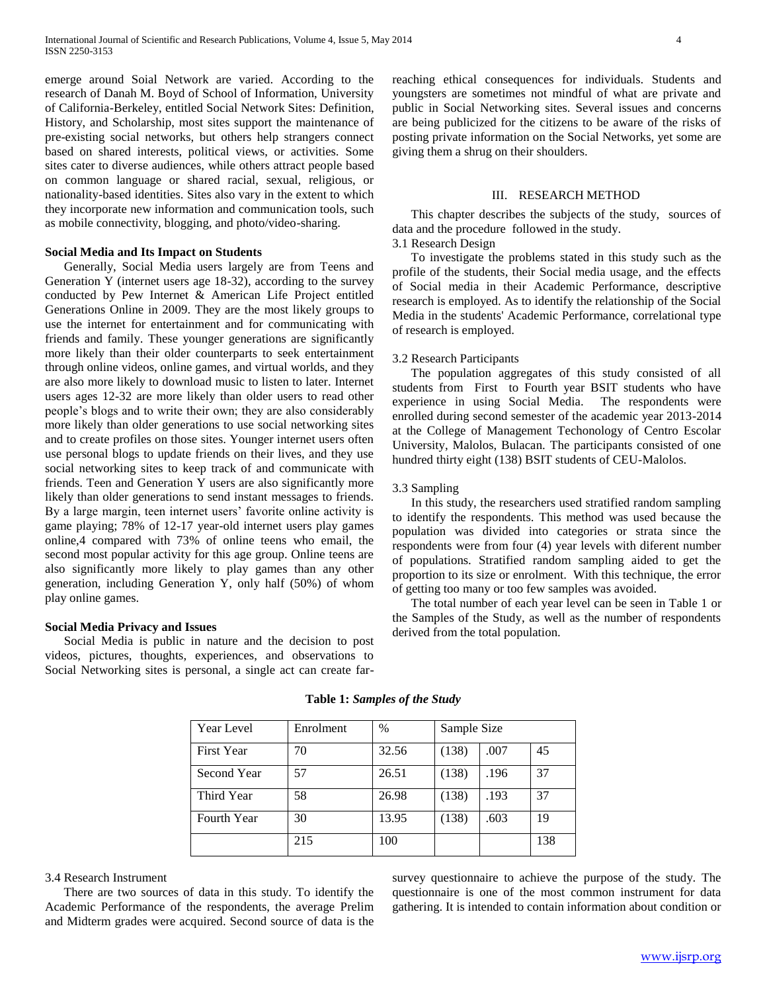emerge around Soial Network are varied. According to the research of Danah M. Boyd of School of Information, University of California-Berkeley, entitled Social Network Sites: Definition, History, and Scholarship, most sites support the maintenance of pre-existing social networks, but others help strangers connect based on shared interests, political views, or activities. Some sites cater to diverse audiences, while others attract people based on common language or shared racial, sexual, religious, or nationality-based identities. Sites also vary in the extent to which they incorporate new information and communication tools, such as mobile connectivity, blogging, and photo/video-sharing.

## **Social Media and Its Impact on Students**

 Generally, Social Media users largely are from Teens and Generation Y (internet users age 18-32), according to the survey conducted by Pew Internet & American Life Project entitled Generations Online in 2009. They are the most likely groups to use the internet for entertainment and for communicating with friends and family. These younger generations are significantly more likely than their older counterparts to seek entertainment through online videos, online games, and virtual worlds, and they are also more likely to download music to listen to later. Internet users ages 12-32 are more likely than older users to read other people's blogs and to write their own; they are also considerably more likely than older generations to use social networking sites and to create profiles on those sites. Younger internet users often use personal blogs to update friends on their lives, and they use social networking sites to keep track of and communicate with friends. Teen and Generation Y users are also significantly more likely than older generations to send instant messages to friends. By a large margin, teen internet users' favorite online activity is game playing; 78% of 12-17 year-old internet users play games online,4 compared with 73% of online teens who email, the second most popular activity for this age group. Online teens are also significantly more likely to play games than any other generation, including Generation Y, only half (50%) of whom play online games.

#### **Social Media Privacy and Issues**

 Social Media is public in nature and the decision to post videos, pictures, thoughts, experiences, and observations to Social Networking sites is personal, a single act can create farreaching ethical consequences for individuals. Students and youngsters are sometimes not mindful of what are private and public in Social Networking sites. Several issues and concerns are being publicized for the citizens to be aware of the risks of posting private information on the Social Networks, yet some are giving them a shrug on their shoulders.

#### III. RESEARCH METHOD

 This chapter describes the subjects of the study, sources of data and the procedure followed in the study.

# 3.1 Research Design

 To investigate the problems stated in this study such as the profile of the students, their Social media usage, and the effects of Social media in their Academic Performance, descriptive research is employed. As to identify the relationship of the Social Media in the students' Academic Performance, correlational type of research is employed.

## 3.2 Research Participants

 The population aggregates of this study consisted of all students from First to Fourth year BSIT students who have experience in using Social Media. The respondents were enrolled during second semester of the academic year 2013-2014 at the College of Management Techonology of Centro Escolar University, Malolos, Bulacan. The participants consisted of one hundred thirty eight (138) BSIT students of CEU-Malolos.

#### 3.3 Sampling

 In this study, the researchers used stratified random sampling to identify the respondents. This method was used because the population was divided into categories or strata since the respondents were from four (4) year levels with diferent number of populations. Stratified random sampling aided to get the proportion to its size or enrolment. With this technique, the error of getting too many or too few samples was avoided.

 The total number of each year level can be seen in Table 1 or the Samples of the Study, as well as the number of respondents derived from the total population.

| Year Level         | Enrolment | $\%$  | Sample Size |      |     |
|--------------------|-----------|-------|-------------|------|-----|
| <b>First Year</b>  | 70        | 32.56 | (138)       | .007 | 45  |
| Second Year        | 57        | 26.51 | (138)       | .196 | 37  |
| Third Year         | 58        | 26.98 | (138)       | .193 | 37  |
| <b>Fourth Year</b> | 30        | 13.95 | (138)       | .603 | 19  |
|                    | 215       | 100   |             |      | 138 |

**Table 1:** *Samples of the Study*

#### 3.4 Research Instrument

 There are two sources of data in this study. To identify the Academic Performance of the respondents, the average Prelim and Midterm grades were acquired. Second source of data is the

survey questionnaire to achieve the purpose of the study. The questionnaire is one of the most common instrument for data gathering. It is intended to contain information about condition or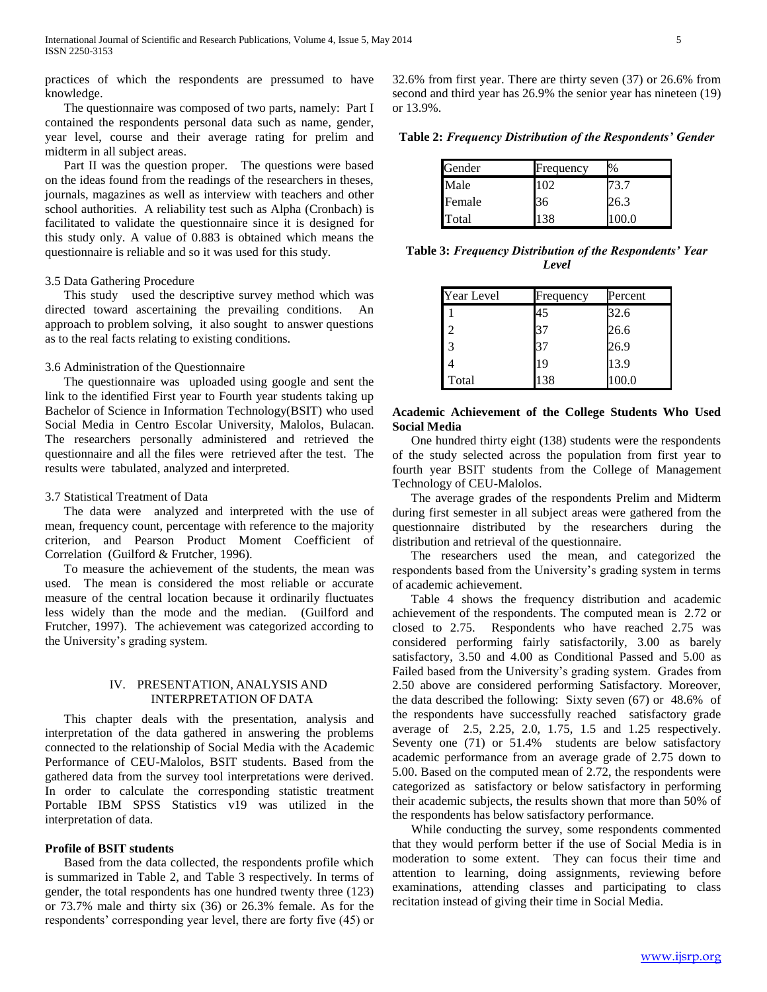practices of which the respondents are pressumed to have knowledge.

 The questionnaire was composed of two parts, namely: Part I contained the respondents personal data such as name, gender, year level, course and their average rating for prelim and midterm in all subject areas.

 Part II was the question proper. The questions were based on the ideas found from the readings of the researchers in theses, journals, magazines as well as interview with teachers and other school authorities. A reliability test such as Alpha (Cronbach) is facilitated to validate the questionnaire since it is designed for this study only. A value of 0.883 is obtained which means the questionnaire is reliable and so it was used for this study.

# 3.5 Data Gathering Procedure

 This study used the descriptive survey method which was directed toward ascertaining the prevailing conditions. An approach to problem solving, it also sought to answer questions as to the real facts relating to existing conditions.

## 3.6 Administration of the Questionnaire

 The questionnaire was uploaded using google and sent the link to the identified First year to Fourth year students taking up Bachelor of Science in Information Technology(BSIT) who used Social Media in Centro Escolar University, Malolos, Bulacan. The researchers personally administered and retrieved the questionnaire and all the files were retrieved after the test. The results were tabulated, analyzed and interpreted.

### 3.7 Statistical Treatment of Data

 The data were analyzed and interpreted with the use of mean, frequency count, percentage with reference to the majority criterion, and Pearson Product Moment Coefficient of Correlation (Guilford & Frutcher, 1996).

 To measure the achievement of the students, the mean was used. The mean is considered the most reliable or accurate measure of the central location because it ordinarily fluctuates less widely than the mode and the median. (Guilford and Frutcher, 1997). The achievement was categorized according to the University's grading system.

## IV. PRESENTATION, ANALYSIS AND INTERPRETATION OF DATA

 This chapter deals with the presentation, analysis and interpretation of the data gathered in answering the problems connected to the relationship of Social Media with the Academic Performance of CEU-Malolos, BSIT students. Based from the gathered data from the survey tool interpretations were derived. In order to calculate the corresponding statistic treatment Portable IBM SPSS Statistics v19 was utilized in the interpretation of data.

#### **Profile of BSIT students**

 Based from the data collected, the respondents profile which is summarized in Table 2, and Table 3 respectively. In terms of gender, the total respondents has one hundred twenty three (123) or 73.7% male and thirty six (36) or 26.3% female. As for the respondents' corresponding year level, there are forty five (45) or

32.6% from first year. There are thirty seven (37) or 26.6% from second and third year has 26.9% the senior year has nineteen (19) or 13.9%.

**Table 2:** *Frequency Distribution of the Respondents' Gender*

| Gender | Frequency | %    |
|--------|-----------|------|
| Male   | 102       | 73.7 |
| Female | 36        | 26.3 |
| Total  | 138       | በበ በ |

**Table 3:** *Frequency Distribution of the Respondents' Year Level*

| Year Level | Frequency | Percent |
|------------|-----------|---------|
|            | 45        | 32.6    |
| 2          | 37        | 26.6    |
| 3          | 37        | 26.9    |
|            | 19        | 13.9    |
| Total      | 138       | 100.0   |

# **Academic Achievement of the College Students Who Used Social Media**

 One hundred thirty eight (138) students were the respondents of the study selected across the population from first year to fourth year BSIT students from the College of Management Technology of CEU-Malolos.

 The average grades of the respondents Prelim and Midterm during first semester in all subject areas were gathered from the questionnaire distributed by the researchers during the distribution and retrieval of the questionnaire.

 The researchers used the mean, and categorized the respondents based from the University's grading system in terms of academic achievement.

 Table 4 shows the frequency distribution and academic achievement of the respondents. The computed mean is 2.72 or closed to 2.75. Respondents who have reached 2.75 was considered performing fairly satisfactorily, 3.00 as barely satisfactory, 3.50 and 4.00 as Conditional Passed and 5.00 as Failed based from the University's grading system. Grades from 2.50 above are considered performing Satisfactory. Moreover, the data described the following: Sixty seven (67) or 48.6% of the respondents have successfully reached satisfactory grade average of 2.5, 2.25, 2.0, 1.75, 1.5 and 1.25 respectively. Seventy one (71) or 51.4% students are below satisfactory academic performance from an average grade of 2.75 down to 5.00. Based on the computed mean of 2.72, the respondents were categorized as satisfactory or below satisfactory in performing their academic subjects, the results shown that more than 50% of the respondents has below satisfactory performance.

 While conducting the survey, some respondents commented that they would perform better if the use of Social Media is in moderation to some extent. They can focus their time and attention to learning, doing assignments, reviewing before examinations, attending classes and participating to class recitation instead of giving their time in Social Media.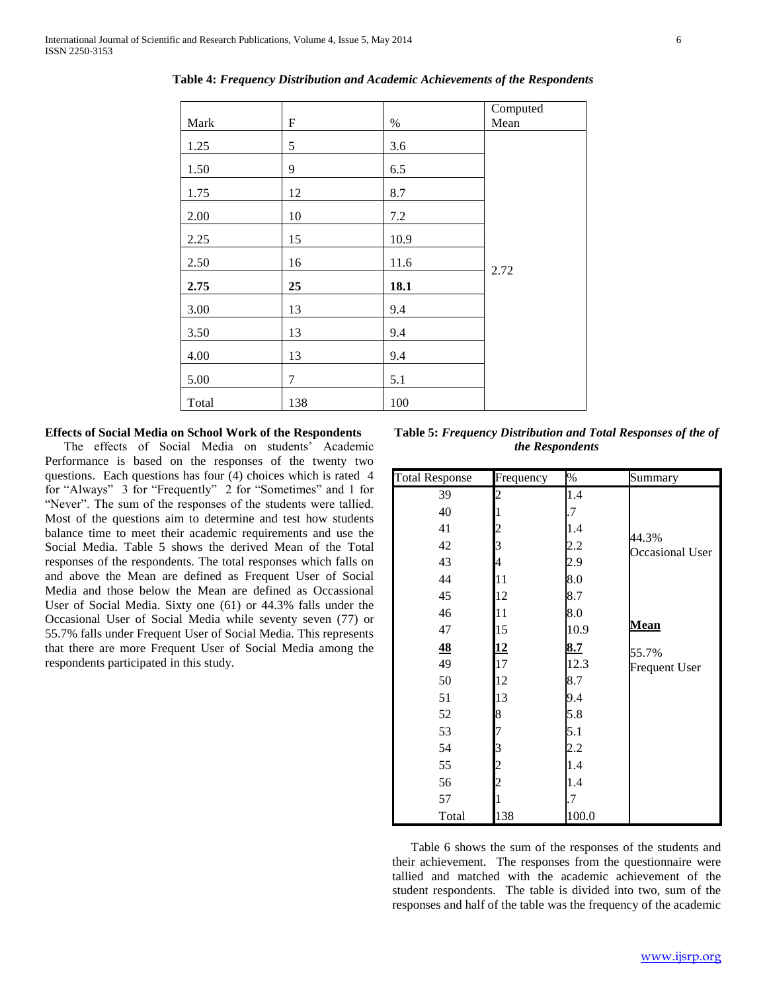| Mark  | $\boldsymbol{\mathrm{F}}$ | $\%$ | Computed<br>Mean |
|-------|---------------------------|------|------------------|
| 1.25  | 5                         | 3.6  |                  |
| 1.50  | 9                         | 6.5  |                  |
| 1.75  | 12                        | 8.7  |                  |
| 2.00  | 10                        | 7.2  |                  |
| 2.25  | 15                        | 10.9 |                  |
| 2.50  | 16                        | 11.6 | 2.72             |
| 2.75  | 25                        | 18.1 |                  |
| 3.00  | 13                        | 9.4  |                  |
| 3.50  | 13                        | 9.4  |                  |
| 4.00  | 13                        | 9.4  |                  |
| 5.00  | $\overline{7}$            | 5.1  |                  |
| Total | 138                       | 100  |                  |

**Table 4:** *Frequency Distribution and Academic Achievements of the Respondents*

# **Effects of Social Media on School Work of the Respondents**

 The effects of Social Media on students' Academic Performance is based on the responses of the twenty two questions. Each questions has four (4) choices which is rated 4 for "Always" 3 for "Frequently" 2 for "Sometimes" and 1 for "Never". The sum of the responses of the students were tallied. Most of the questions aim to determine and test how students balance time to meet their academic requirements and use the Social Media. Table 5 shows the derived Mean of the Total responses of the respondents. The total responses which falls on and above the Mean are defined as Frequent User of Social Media and those below the Mean are defined as Occassional User of Social Media. Sixty one (61) or 44.3% falls under the Occasional User of Social Media while seventy seven (77) or 55.7% falls under Frequent User of Social Media. This represents that there are more Frequent User of Social Media among the respondents participated in this study.

**Table 5:** *Frequency Distribution and Total Responses of the of the Respondents*

| <b>Total Response</b> | Frequency               | $\%$  | Summary                         |
|-----------------------|-------------------------|-------|---------------------------------|
| 39                    | 2                       | 1.4   |                                 |
| 40                    |                         | .7    |                                 |
| 41                    | $\overline{\mathbf{c}}$ | 1.4   |                                 |
| 42                    | 3                       | 2.2   | 44.3%<br><b>Occasional User</b> |
| 43                    | 4                       | 2.9   |                                 |
| 44                    | 11                      | 8.0   |                                 |
| 45                    | 12                      | 8.7   |                                 |
| 46                    | 11                      | 8.0   |                                 |
| 47                    | 15                      | 10.9  | <b>Mean</b>                     |
| 48                    | <u>12</u>               | 8.7   | 55.7%                           |
| 49                    | 17                      | 12.3  | <b>Frequent User</b>            |
| 50                    | 12                      | 8.7   |                                 |
| 51                    | 13                      | 9.4   |                                 |
| 52                    | 8                       | 5.8   |                                 |
| 53                    |                         | 5.1   |                                 |
| 54                    | 3                       | 2.2   |                                 |
| 55                    | $\overline{\mathbf{c}}$ | 1.4   |                                 |
| 56                    | 2                       | 1.4   |                                 |
| 57                    |                         | .7    |                                 |
| Total                 | 138                     | 100.0 |                                 |

 Table 6 shows the sum of the responses of the students and their achievement. The responses from the questionnaire were tallied and matched with the academic achievement of the student respondents. The table is divided into two, sum of the responses and half of the table was the frequency of the academic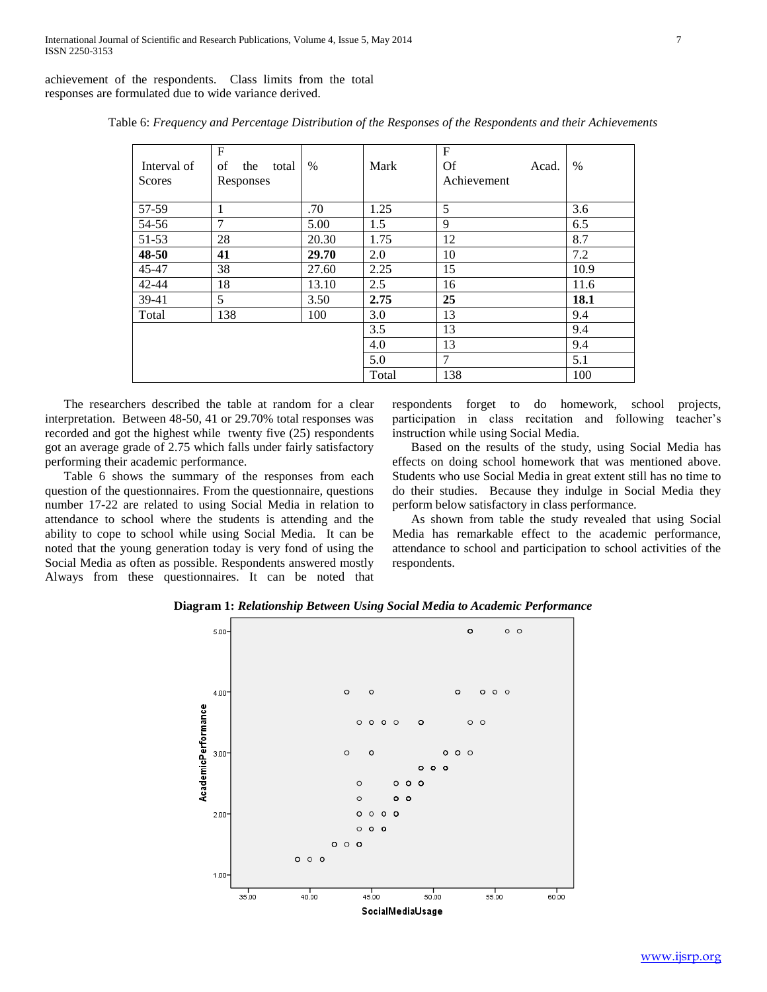achievement of the respondents. Class limits from the total responses are formulated due to wide variance derived.

| Interval of<br><b>Scores</b> | F<br>of<br>the<br>total<br>Responses | $\%$  | Mark  | $F_{\rm}$<br>Of<br>Acad.<br>Achievement | $\%$ |
|------------------------------|--------------------------------------|-------|-------|-----------------------------------------|------|
| 57-59                        |                                      | .70   | 1.25  | 5                                       | 3.6  |
| 54-56                        | $\overline{7}$                       | 5.00  | 1.5   | 9                                       | 6.5  |
| 51-53                        | 28                                   | 20.30 | 1.75  | 12                                      | 8.7  |
| 48-50                        | 41                                   | 29.70 | 2.0   | 10                                      | 7.2  |
| 45-47                        | 38                                   | 27.60 | 2.25  | 15                                      | 10.9 |
| $42 - 44$                    | 18                                   | 13.10 | 2.5   | 16                                      | 11.6 |
| 39-41                        | 5                                    | 3.50  | 2.75  | 25                                      | 18.1 |
| Total                        | 138                                  | 100   | 3.0   | 13                                      | 9.4  |
|                              |                                      |       | 3.5   | 13                                      | 9.4  |
|                              |                                      |       | 4.0   | 13                                      | 9.4  |
|                              |                                      |       | 5.0   | $\overline{7}$                          | 5.1  |
|                              |                                      |       | Total | 138                                     | 100  |

Table 6: *Frequency and Percentage Distribution of the Responses of the Respondents and their Achievements*

 The researchers described the table at random for a clear interpretation. Between 48-50, 41 or 29.70% total responses was recorded and got the highest while twenty five (25) respondents got an average grade of 2.75 which falls under fairly satisfactory performing their academic performance.

 Table 6 shows the summary of the responses from each question of the questionnaires. From the questionnaire, questions number 17-22 are related to using Social Media in relation to attendance to school where the students is attending and the ability to cope to school while using Social Media. It can be noted that the young generation today is very fond of using the Social Media as often as possible. Respondents answered mostly Always from these questionnaires. It can be noted that

respondents forget to do homework, school projects, participation in class recitation and following teacher's instruction while using Social Media.

 Based on the results of the study, using Social Media has effects on doing school homework that was mentioned above. Students who use Social Media in great extent still has no time to do their studies. Because they indulge in Social Media they perform below satisfactory in class performance.

 As shown from table the study revealed that using Social Media has remarkable effect to the academic performance, attendance to school and participation to school activities of the respondents.

**Diagram 1:** *Relationship Between Using Social Media to Academic Performance*

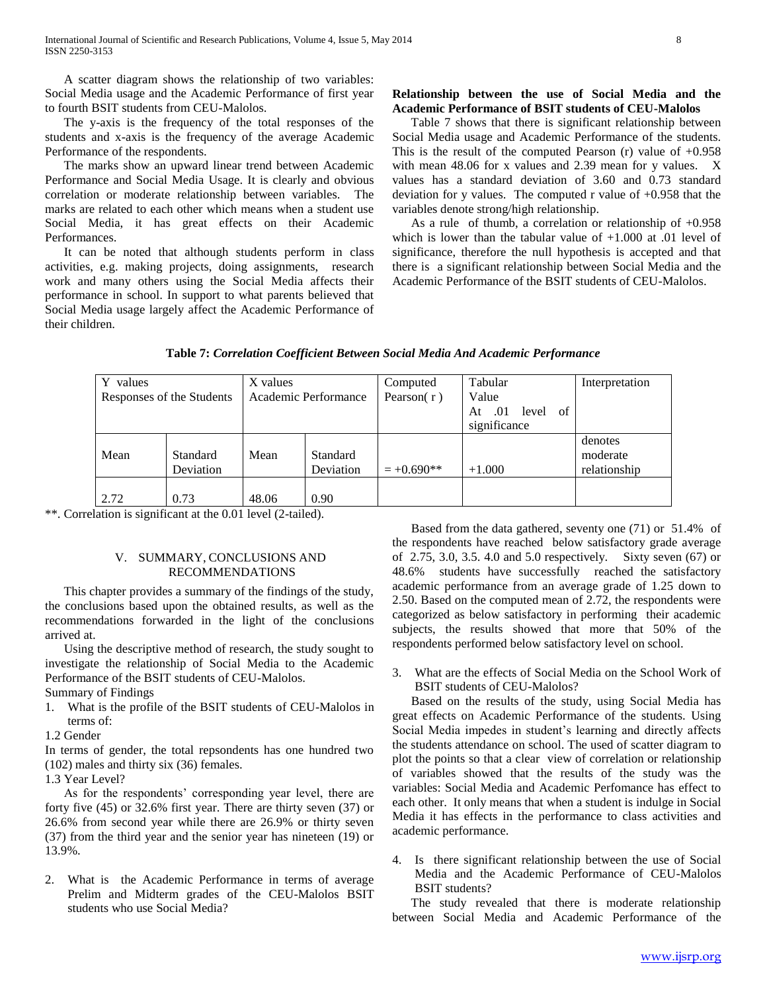A scatter diagram shows the relationship of two variables: Social Media usage and the Academic Performance of first year to fourth BSIT students from CEU-Malolos.

 The y-axis is the frequency of the total responses of the students and x-axis is the frequency of the average Academic Performance of the respondents.

 The marks show an upward linear trend between Academic Performance and Social Media Usage. It is clearly and obvious correlation or moderate relationship between variables. The marks are related to each other which means when a student use Social Media, it has great effects on their Academic Performances.

 It can be noted that although students perform in class activities, e.g. making projects, doing assignments, research work and many others using the Social Media affects their performance in school. In support to what parents believed that Social Media usage largely affect the Academic Performance of their children.

# **Relationship between the use of Social Media and the Academic Performance of BSIT students of CEU-Malolos**

 Table 7 shows that there is significant relationship between Social Media usage and Academic Performance of the students. This is the result of the computed Pearson  $(r)$  value of  $+0.958$ with mean 48.06 for x values and 2.39 mean for y values. X values has a standard deviation of 3.60 and 0.73 standard deviation for y values. The computed r value of +0.958 that the variables denote strong/high relationship.

 As a rule of thumb, a correlation or relationship of +0.958 which is lower than the tabular value of  $+1.000$  at .01 level of significance, therefore the null hypothesis is accepted and that there is a significant relationship between Social Media and the Academic Performance of the BSIT students of CEU-Malolos.

| Y values                                          |           | X values      |           | Computed     | Tabular                  | Interpretation |
|---------------------------------------------------|-----------|---------------|-----------|--------------|--------------------------|----------------|
| Academic Performance<br>Responses of the Students |           | Pearson $(r)$ | Value     |              |                          |                |
|                                                   |           |               |           |              | of<br>.01<br>level<br>At |                |
|                                                   |           |               |           |              | significance             |                |
|                                                   |           |               |           |              |                          | denotes        |
| Mean                                              | Standard  | Mean          | Standard  |              |                          | moderate       |
|                                                   | Deviation |               | Deviation | $= +0.690**$ | $+1.000$                 | relationship   |
|                                                   |           |               |           |              |                          |                |
| 2.72                                              | 0.73      | 48.06         | 0.90      |              |                          |                |

**Table 7:** *Correlation Coefficient Between Social Media And Academic Performance*

\*\*. Correlation is significant at the 0.01 level (2-tailed).

# V. SUMMARY, CONCLUSIONS AND RECOMMENDATIONS

 This chapter provides a summary of the findings of the study, the conclusions based upon the obtained results, as well as the recommendations forwarded in the light of the conclusions arrived at.

 Using the descriptive method of research, the study sought to investigate the relationship of Social Media to the Academic Performance of the BSIT students of CEU-Malolos.

Summary of Findings

- 1. What is the profile of the BSIT students of CEU-Malolos in terms of:
- 1.2 Gender

In terms of gender, the total repsondents has one hundred two (102) males and thirty six (36) females.

1.3 Year Level?

 As for the respondents' corresponding year level, there are forty five (45) or 32.6% first year. There are thirty seven (37) or 26.6% from second year while there are 26.9% or thirty seven (37) from the third year and the senior year has nineteen (19) or 13.9%.

2. What is the Academic Performance in terms of average Prelim and Midterm grades of the CEU-Malolos BSIT students who use Social Media?

 Based from the data gathered, seventy one (71) or 51.4% of the respondents have reached below satisfactory grade average of 2.75, 3.0, 3.5. 4.0 and 5.0 respectively. Sixty seven (67) or 48.6% students have successfully reached the satisfactory academic performance from an average grade of 1.25 down to 2.50. Based on the computed mean of 2.72, the respondents were categorized as below satisfactory in performing their academic subjects, the results showed that more that 50% of the respondents performed below satisfactory level on school.

3. What are the effects of Social Media on the School Work of BSIT students of CEU-Malolos?

 Based on the results of the study, using Social Media has great effects on Academic Performance of the students. Using Social Media impedes in student's learning and directly affects the students attendance on school. The used of scatter diagram to plot the points so that a clear view of correlation or relationship of variables showed that the results of the study was the variables: Social Media and Academic Perfomance has effect to each other. It only means that when a student is indulge in Social Media it has effects in the performance to class activities and academic performance.

4. Is there significant relationship between the use of Social Media and the Academic Performance of CEU-Malolos BSIT students?

 The study revealed that there is moderate relationship between Social Media and Academic Performance of the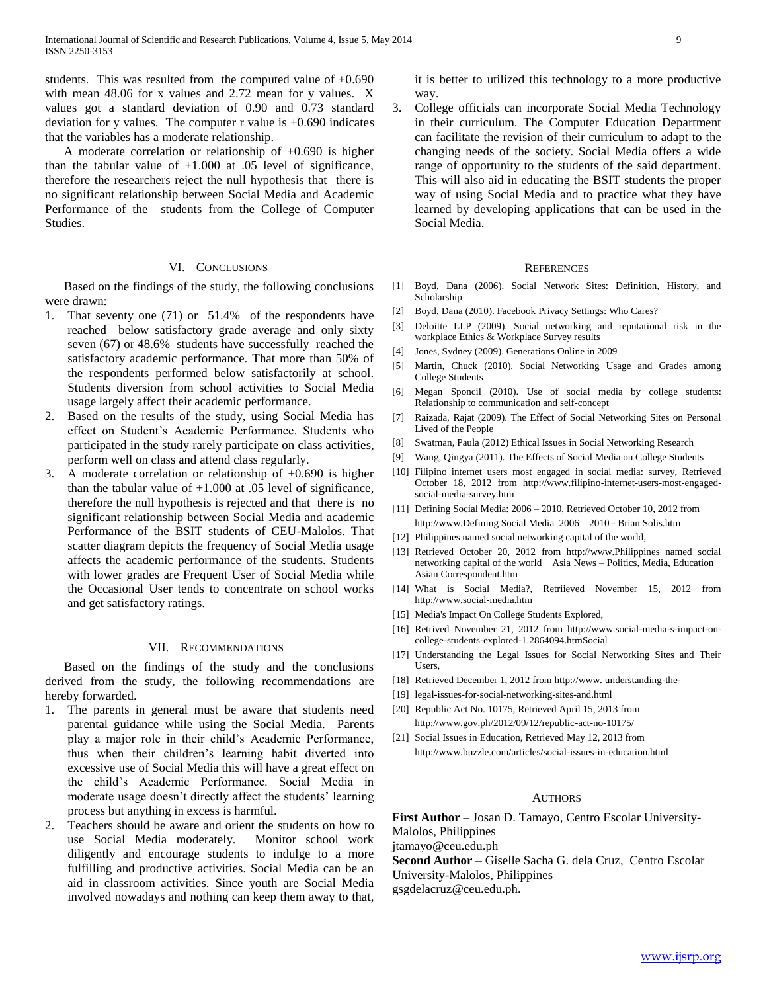students. This was resulted from the computed value of +0.690 with mean 48.06 for x values and 2.72 mean for y values. X values got a standard deviation of 0.90 and 0.73 standard deviation for y values. The computer r value is  $+0.690$  indicates that the variables has a moderate relationship.

 A moderate correlation or relationship of +0.690 is higher than the tabular value of +1.000 at .05 level of significance, therefore the researchers reject the null hypothesis that there is no significant relationship between Social Media and Academic Performance of the students from the College of Computer Studies.

## VI. CONCLUSIONS

 Based on the findings of the study, the following conclusions were drawn:

- 1. That seventy one (71) or 51.4% of the respondents have reached below satisfactory grade average and only sixty seven (67) or 48.6% students have successfully reached the satisfactory academic performance. That more than 50% of the respondents performed below satisfactorily at school. Students diversion from school activities to Social Media usage largely affect their academic performance.
- 2. Based on the results of the study, using Social Media has effect on Student's Academic Performance. Students who participated in the study rarely participate on class activities, perform well on class and attend class regularly.
- 3. A moderate correlation or relationship of +0.690 is higher than the tabular value of  $+1.000$  at  $.05$  level of significance, therefore the null hypothesis is rejected and that there is no significant relationship between Social Media and academic Performance of the BSIT students of CEU-Malolos. That scatter diagram depicts the frequency of Social Media usage affects the academic performance of the students. Students with lower grades are Frequent User of Social Media while the Occasional User tends to concentrate on school works and get satisfactory ratings.

## VII. RECOMMENDATIONS

 Based on the findings of the study and the conclusions derived from the study, the following recommendations are hereby forwarded.

- 1. The parents in general must be aware that students need parental guidance while using the Social Media. Parents play a major role in their child's Academic Performance, thus when their children's learning habit diverted into excessive use of Social Media this will have a great effect on the child's Academic Performance. Social Media in moderate usage doesn't directly affect the students' learning process but anything in excess is harmful.
- 2. Teachers should be aware and orient the students on how to use Social Media moderately. Monitor school work diligently and encourage students to indulge to a more fulfilling and productive activities. Social Media can be an aid in classroom activities. Since youth are Social Media involved nowadays and nothing can keep them away to that,

it is better to utilized this technology to a more productive way.

3. College officials can incorporate Social Media Technology in their curriculum. The Computer Education Department can facilitate the revision of their curriculum to adapt to the changing needs of the society. Social Media offers a wide range of opportunity to the students of the said department. This will also aid in educating the BSIT students the proper way of using Social Media and to practice what they have learned by developing applications that can be used in the Social Media.

### **REFERENCES**

- [1] Boyd, Dana (2006). Social Network Sites: Definition, History, and Scholarship
- [2] Boyd, Dana (2010). Facebook Privacy Settings: Who Cares?
- [3] Deloitte LLP (2009). Social networking and reputational risk in the workplace Ethics & Workplace Survey results
- [4] Jones, Sydney (2009). Generations Online in 2009
- [5] Martin, Chuck (2010). Social Networking Usage and Grades among College Students
- [6] Megan Sponcil (2010). Use of social media by college students: Relationship to communication and self-concept
- [7] Raizada, Rajat (2009). The Effect of Social Networking Sites on Personal Lived of the People
- [8] Swatman, Paula (2012) Ethical Issues in Social Networking Research
- [9] Wang, Qingya (2011). The Effects of Social Media on College Students
- [10] Filipino internet users most engaged in social media: survey, Retrieved October 18, 2012 from http://www.filipino-internet-users-most-engagedsocial-media-survey.htm
- [11] Defining Social Media: 2006 2010, Retrieved October 10, 2012 from http://www.Defining Social Media 2006 – 2010 - Brian Solis.htm
- [12] Philippines named social networking capital of the world,
- [13] Retrieved October 20, 2012 from http://www.Philippines named social networking capital of the world \_ Asia News – Politics, Media, Education \_ Asian Correspondent.htm
- [14] What is Social Media?, Retriieved November 15, 2012 from http://www.social-media.htm
- [15] Media's Impact On College Students Explored,
- [16] Retrived November 21, 2012 from http://www.social-media-s-impact-oncollege-students-explored-1.2864094.htmSocial
- [17] Understanding the Legal Issues for Social Networking Sites and Their **Users**
- [18] Retrieved December 1, 2012 from http://www. understanding-the-
- [19] legal-issues-for-social-networking-sites-and.html
- [20] Republic Act No. 10175, Retrieved April 15, 2013 from http://www.gov.ph/2012/09/12/republic-act-no-10175/
- [21] Social Issues in Education, Retrieved May 12, 2013 from http://www.buzzle.com/articles/social-issues-in-education.html

#### AUTHORS

**First Author** – Josan D. Tamayo, Centro Escolar University-Malolos, Philippines

jtamayo@ceu.edu.ph

**Second Author** – Giselle Sacha G. dela Cruz, Centro Escolar

University-Malolos, Philippines

gsgdelacruz@ceu.edu.ph.